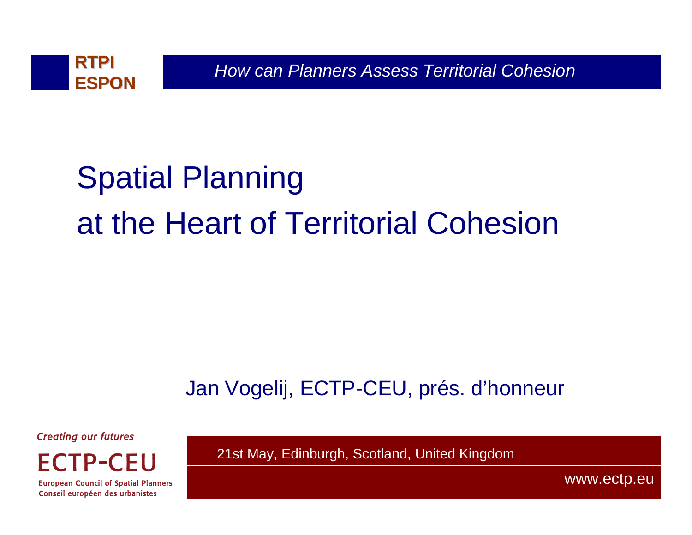

# Spatial Planning at the Heart of Territorial Cohesion

## Jan Vogelij, ECTP-CEU, prés. d'honneur

**Creating our futures** 

CEU FCTP-

**European Council of Spatial Planners** Conseil européen des urbanistes

21st May, Edinburgh, Scotland, United Kingdom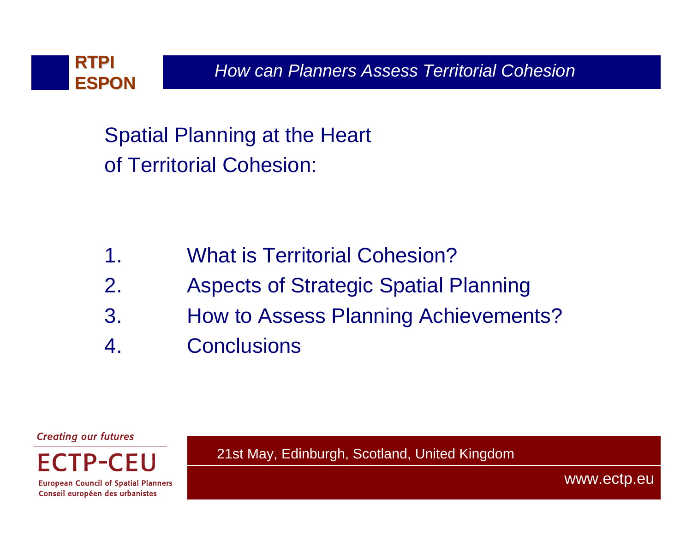

Spatial Planning at the Heart of Territorial Cohesion:

- 1. What is Territorial Cohesion?
- 2. Aspects of Strategic Spatial Planning
- 3. How to Assess Planning Achievements?
- 4. Conclusions

**Creating our futures** 

 $FCTP-$ **European Council of Spatial Planners** 

Conseil européen des urbanistes

21st May, Edinburgh, Scotland, United Kingdom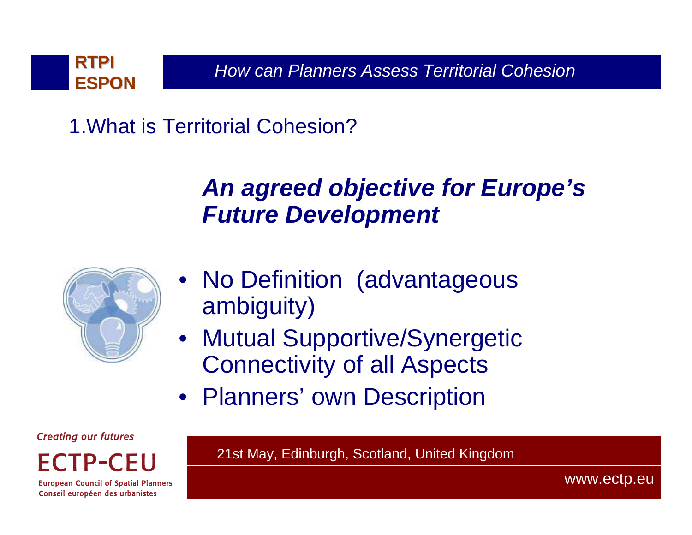

1.What is Territorial Cohesion?

## **An agreed objective for Europe's Future Development**



- • No Definition (advantageous ambiguity)
- • Mutual Supportive/Synergetic Connectivity of all Aspects
- Planners' own Description

**Creating our futures** 

FCTP-CELI

**European Council of Spatial Planners** Conseil européen des urbanistes

21st May, Edinburgh, Scotland, United Kingdom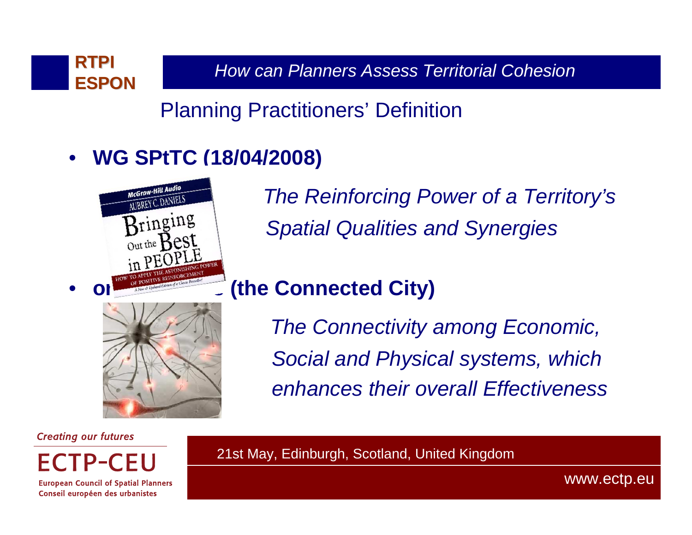

Planning Practitioners' Definition

#### $\bullet$ **WG SPtTC (18/04/2008)**



The Reinforcing Power of a Territory'sSpatial Qualities and Synergies

### **(the Connected City)**

The Connectivity among Economic,Social and Physical systems, which enhances their overall Effectiveness

**Creating our futures** 

•

FCTP-CEU

**European Council of Spatial Planners** Conseil européen des urbanistes

21st May, Edinburgh, Scotland, United Kingdom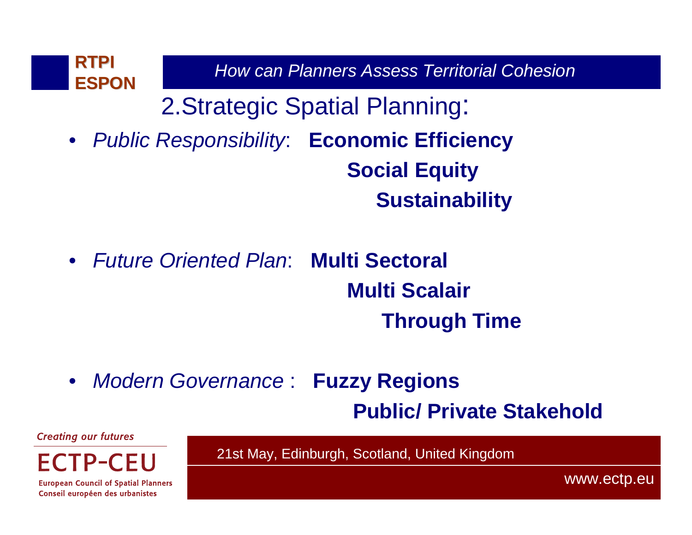

- Future Oriented Plan: **Multi Sectoral Multi ScalairThrough Time**
- Modern Governance : **Fuzzy Regions**

**Public/ Private Stakehold**

**Creating our futures** 

ECTP-CEU

21st May, Edinburgh, Scotland, United Kingdom

**European Council of Spatial Planners** Conseil européen des urbanistes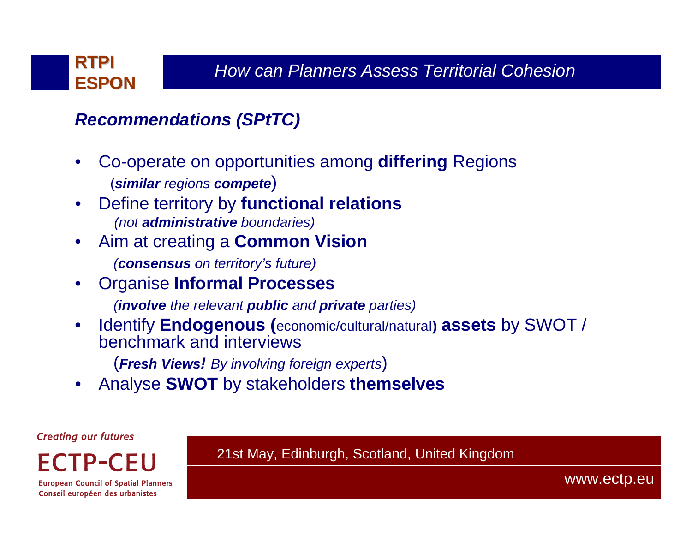

#### **Recommendations (SPtTC)**

- • Co-operate on opportunities among **differing** Regions (**similar** regions **compete**)
- Define territory by **functional relations**•(not **administrative** boundaries)
- • Aim at creating a **Common Vision**
	- (**consensus** on territory's future)
- • Organise **Informal Processes**
	- (**involve** the relevant **public** and **private** parties)
- • Identify **Endogenous (**economic/cultural/natura**l) assets** by SWOT / benchmark and interviews
	- (**Fresh Views!** By involving foreign experts)
- Analyse **SWOT** by stakeholders **themselves**•

**Creating our futures** 

FCTP-CELI

21st May, Edinburgh, Scotland, United Kingdom

**European Council of Spatial Planners** Conseil européen des urbanistes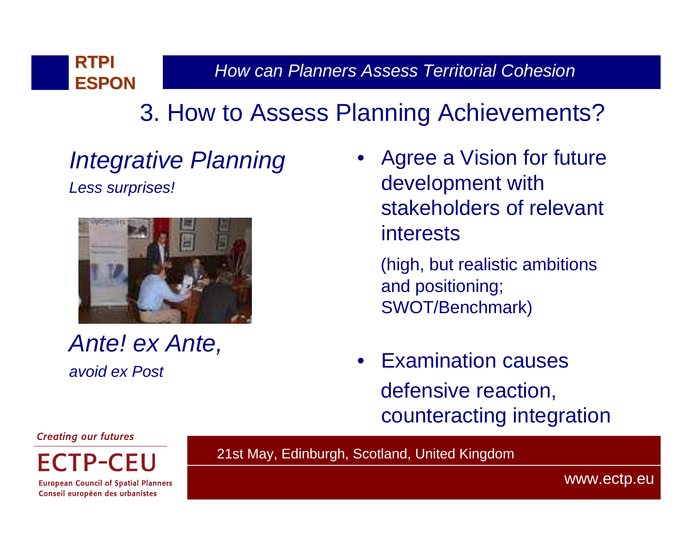## 3. How to Assess Planning Achievements?

# Integrative Planning

Less surprises!



Ante! ex Ante,avoid ex Post

- Agree a Vision for future development with stakeholders of relevant interests
	- (high, but realistic ambitions and positioning; SWOT/Benchmark)
- • Examination causesdefensive reaction, counteracting integration

#### **Creating our futures**

**FCTP-CEU** 

**European Council of Spatial Planners** Conseil européen des urbanistes

21st May, Edinburgh, Scotland, United Kingdom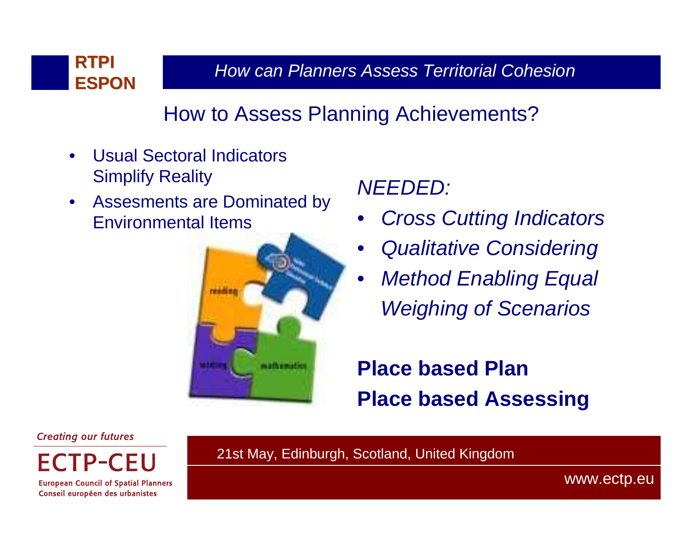

## How to Assess Planning Achievements?

- $\bullet$  Usual Sectoral Indicators Simplify Reality
- $\bullet$  Assesments are Dominated by Environmental Items



NEEDED:

- •Cross Cutting Indicators
- •Qualitative Considering
- • Method Enabling Equal Weighing of Scenarios

**Place based Plan Place based Assessing**

**Creating our futures** 

**FCTP-CELI** 

**European Council of Spatial Planners** Conseil européen des urbanistes

21st May, Edinburgh, Scotland, United Kingdom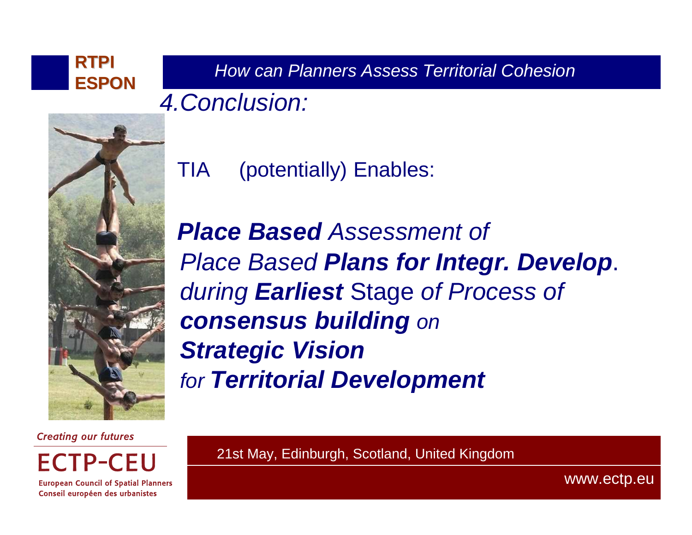How can Planners Assess Territorial Cohesion **RTPI ESPON**4.Conclusion:



TIA (potentially) Enables:

**Place Based** Assessment of Place Based **Plans for Integr. Develop**. during **Earliest** Stage of Process of **consensus building** on**Strategic Vision** for **Territorial Development**

**Creating our futures** 

**FCTP-CFU** 

**European Council of Spatial Planners** Conseil européen des urbanistes

21st May, Edinburgh, Scotland, United Kingdom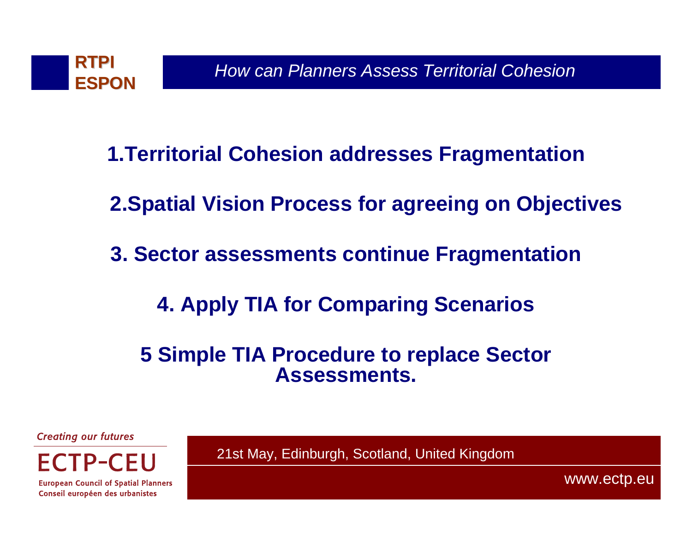

- **1.Territorial Cohesion addresses Fragmentation**
- **2.Spatial Vision Process for agreeing on Objectives**
- **3. Sector assessments continue Fragmentation**
	- **4. Apply TIA for Comparing Scenarios**
	- **5 Simple TIA Procedure to replace Sector Assessments.**

**Creating our futures** 



**European Council of Spatial Planners** Conseil européen des urbanistes

21st May, Edinburgh, Scotland, United Kingdom